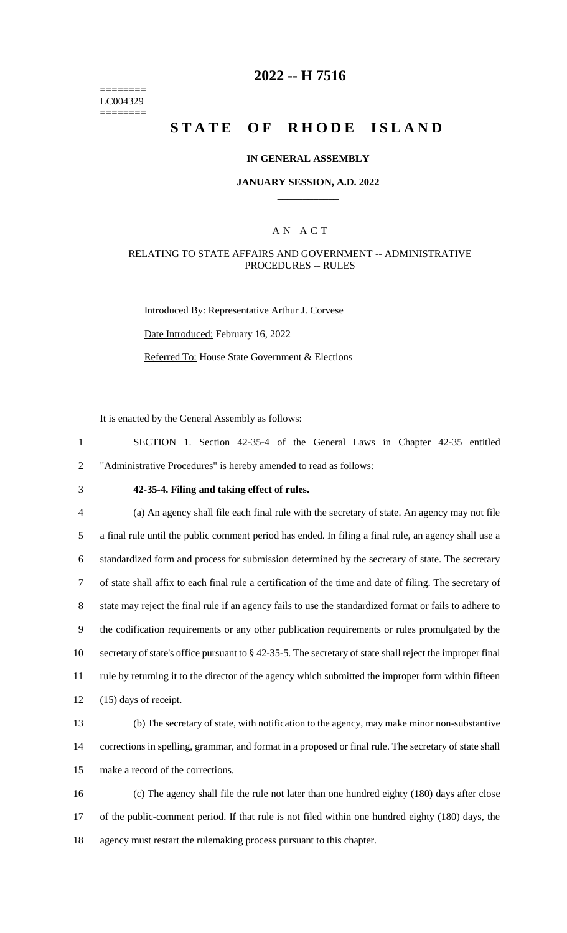======== LC004329 ========

## **2022 -- H 7516**

# **STATE OF RHODE ISLAND**

#### **IN GENERAL ASSEMBLY**

#### **JANUARY SESSION, A.D. 2022 \_\_\_\_\_\_\_\_\_\_\_\_**

#### A N A C T

#### RELATING TO STATE AFFAIRS AND GOVERNMENT -- ADMINISTRATIVE PROCEDURES -- RULES

Introduced By: Representative Arthur J. Corvese Date Introduced: February 16, 2022 Referred To: House State Government & Elections

It is enacted by the General Assembly as follows:

1 SECTION 1. Section 42-35-4 of the General Laws in Chapter 42-35 entitled 2 "Administrative Procedures" is hereby amended to read as follows:

## 3 **42-35-4. Filing and taking effect of rules.**

 (a) An agency shall file each final rule with the secretary of state. An agency may not file a final rule until the public comment period has ended. In filing a final rule, an agency shall use a standardized form and process for submission determined by the secretary of state. The secretary of state shall affix to each final rule a certification of the time and date of filing. The secretary of state may reject the final rule if an agency fails to use the standardized format or fails to adhere to the codification requirements or any other publication requirements or rules promulgated by the secretary of state's office pursuant to § 42-35-5. The secretary of state shall reject the improper final rule by returning it to the director of the agency which submitted the improper form within fifteen (15) days of receipt.

13 (b) The secretary of state, with notification to the agency, may make minor non-substantive 14 corrections in spelling, grammar, and format in a proposed or final rule. The secretary of state shall 15 make a record of the corrections.

16 (c) The agency shall file the rule not later than one hundred eighty (180) days after close 17 of the public-comment period. If that rule is not filed within one hundred eighty (180) days, the 18 agency must restart the rulemaking process pursuant to this chapter.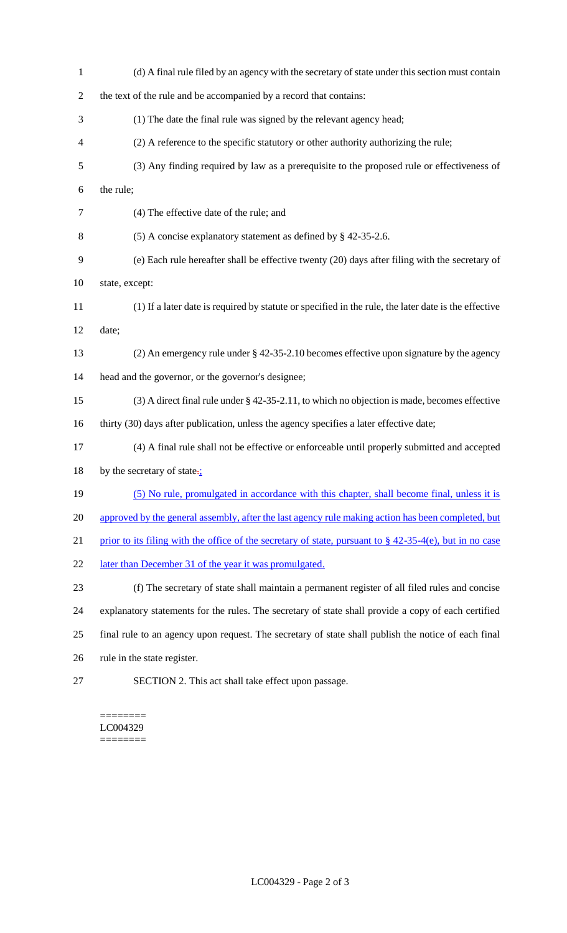| $\mathbf{1}$   | (d) A final rule filed by an agency with the secretary of state under this section must contain            |
|----------------|------------------------------------------------------------------------------------------------------------|
| $\overline{c}$ | the text of the rule and be accompanied by a record that contains:                                         |
| 3              | (1) The date the final rule was signed by the relevant agency head;                                        |
| 4              | (2) A reference to the specific statutory or other authority authorizing the rule;                         |
| 5              | (3) Any finding required by law as a prerequisite to the proposed rule or effectiveness of                 |
| 6              | the rule;                                                                                                  |
| $\tau$         | (4) The effective date of the rule; and                                                                    |
| $8\,$          | (5) A concise explanatory statement as defined by $\S$ 42-35-2.6.                                          |
| 9              | (e) Each rule hereafter shall be effective twenty (20) days after filing with the secretary of             |
| 10             | state, except:                                                                                             |
| 11             | (1) If a later date is required by statute or specified in the rule, the later date is the effective       |
| 12             | date;                                                                                                      |
| 13             | (2) An emergency rule under $\S$ 42-35-2.10 becomes effective upon signature by the agency                 |
| 14             | head and the governor, or the governor's designee;                                                         |
| 15             | $(3)$ A direct final rule under § 42-35-2.11, to which no objection is made, becomes effective             |
| 16             | thirty (30) days after publication, unless the agency specifies a later effective date;                    |
| 17             | (4) A final rule shall not be effective or enforceable until properly submitted and accepted               |
| 18             | by the secretary of state. $\frac{1}{2}$                                                                   |
| 19             | (5) No rule, promulgated in accordance with this chapter, shall become final, unless it is                 |
| 20             | approved by the general assembly, after the last agency rule making action has been completed, but         |
| 21             | prior to its filing with the office of the secretary of state, pursuant to $\S$ 42-35-4(e), but in no case |
| 22             | later than December 31 of the year it was promulgated.                                                     |
| 23             | (f) The secretary of state shall maintain a permanent register of all filed rules and concise              |
| 24             | explanatory statements for the rules. The secretary of state shall provide a copy of each certified        |
| 25             | final rule to an agency upon request. The secretary of state shall publish the notice of each final        |
| 26             | rule in the state register.                                                                                |
| 27             | SECTION 2. This act shall take effect upon passage.                                                        |

#### $=$ LC004329 ========